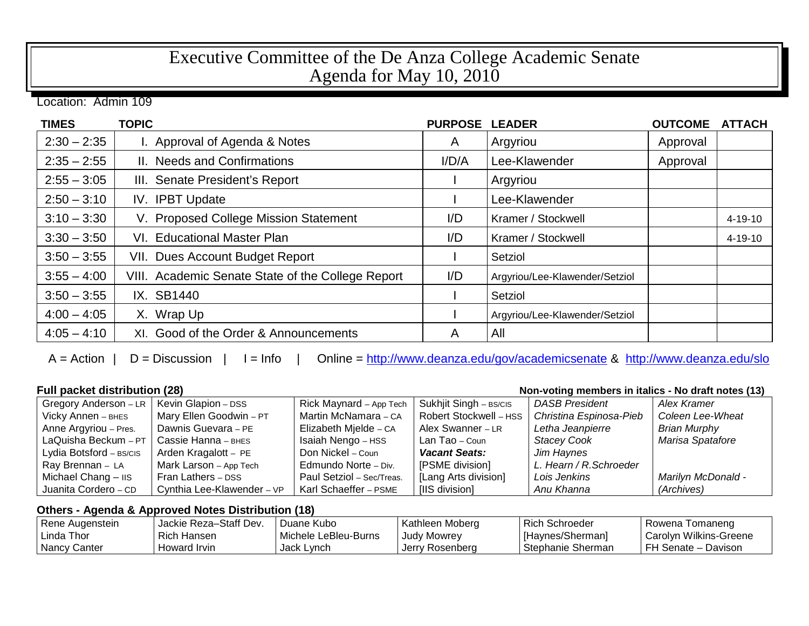## Executive Committee of the De Anza College Academic Senate Agenda for May 10, 2010

Location: Admin 109

| <b>TIMES</b>  | <b>TOPIC</b>                                      | <b>PURPOSE</b> | <b>LEADER</b>                  | <b>OUTCOME</b> | <b>ATTACH</b> |
|---------------|---------------------------------------------------|----------------|--------------------------------|----------------|---------------|
| $2:30 - 2:35$ | I. Approval of Agenda & Notes                     | A              | Argyriou                       | Approval       |               |
| $2:35 - 2:55$ | II. Needs and Confirmations                       | I/D/A          | Lee-Klawender                  | Approval       |               |
| $2:55 - 3:05$ | III. Senate President's Report                    |                | Argyriou                       |                |               |
| $2:50 - 3:10$ | IV. IPBT Update                                   |                | Lee-Klawender                  |                |               |
| $3:10 - 3:30$ | V. Proposed College Mission Statement             | I/D            | Kramer / Stockwell             |                | $4 - 19 - 10$ |
| $3:30 - 3:50$ | VI. Educational Master Plan                       | I/D            | Kramer / Stockwell             |                | $4 - 19 - 10$ |
| $3:50 - 3:55$ | <b>VII. Dues Account Budget Report</b>            |                | Setziol                        |                |               |
| $3:55 - 4:00$ | VIII. Academic Senate State of the College Report | I/D            | Argyriou/Lee-Klawender/Setziol |                |               |
| $3:50 - 3:55$ | IX. SB1440                                        |                | Setziol                        |                |               |
| $4:00 - 4:05$ | X. Wrap Up                                        |                | Argyriou/Lee-Klawender/Setziol |                |               |
| $4:05 - 4:10$ | XI. Good of the Order & Announcements             | A              | All                            |                |               |

A = Action | D = Discussion | I = Info | Online =<http://www.deanza.edu/gov/academicsenate> & <http://www.deanza.edu/slo>

| <b>Full packet distribution (28)</b><br>Non-voting members in italics - No draft notes (13) |                            |                           |                        |                         |                           |
|---------------------------------------------------------------------------------------------|----------------------------|---------------------------|------------------------|-------------------------|---------------------------|
| Gregory Anderson - LR                                                                       | Kevin Glapion - DSS        | Rick Maynard - App Tech   | Sukhjit Singh - BS/CIS | <b>DASB President</b>   | Alex Kramer               |
| Vicky Annen - BHES                                                                          | Mary Ellen Goodwin - PT    | Martin McNamara - CA      | Robert Stockwell - HSS | Christina Espinosa-Pieb | Coleen Lee-Wheat          |
| Anne Argyriou - Pres.                                                                       | Dawnis Guevara - PE        | Elizabeth Mjelde - CA     | Alex Swanner - LR      | Letha Jeanpierre        | <b>Brian Murphy</b>       |
| LaQuisha Beckum - PT                                                                        | Cassie Hanna - внеs        | Isaiah Nengo - HSS        | Lan Tao – Coun         | <b>Stacey Cook</b>      | Marisa Spatafore          |
| Lydia Botsford - BS/CIS                                                                     | Arden Kragalott - PE       | Don Nickel - Coun         | <b>Vacant Seats:</b>   | Jim Haynes              |                           |
| Ray Brennan - LA                                                                            | Mark Larson - App Tech     | Edmundo Norte - Div.      | [PSME division]        | L. Hearn / R. Schroeder |                           |
| Michael Chang - IIS                                                                         | Fran Lathers - DSS         | Paul Setziol - Sec/Treas. | [Lang Arts division]   | Lois Jenkins            | <b>Marilyn McDonald -</b> |
| Juanita Cordero - CD                                                                        | Cynthia Lee-Klawender - VP | Karl Schaeffer - PSME     | [IIS division]         | Anu Khanna              | (Archives)                |

## **Others - Agenda & Approved Notes Distribution (18)**

| Rene Augenstein | Jackie Reza-Staff Dev. | Duane Kubo           | Kathleen Moberg | Rich Schroeder    | Rowena Tomaneng        |
|-----------------|------------------------|----------------------|-----------------|-------------------|------------------------|
| l Linda Thor    | Rich Hansen            | Michele LeBleu-Burns | Judy Mowrey     | [Haynes/Sherman]  | Carolyn Wilkins-Greene |
| Nancy Canter    | Howard Irvin           | Jack Lynch           | Jerry Rosenberg | Stephanie Sherman | l FH Senate – Davison  |